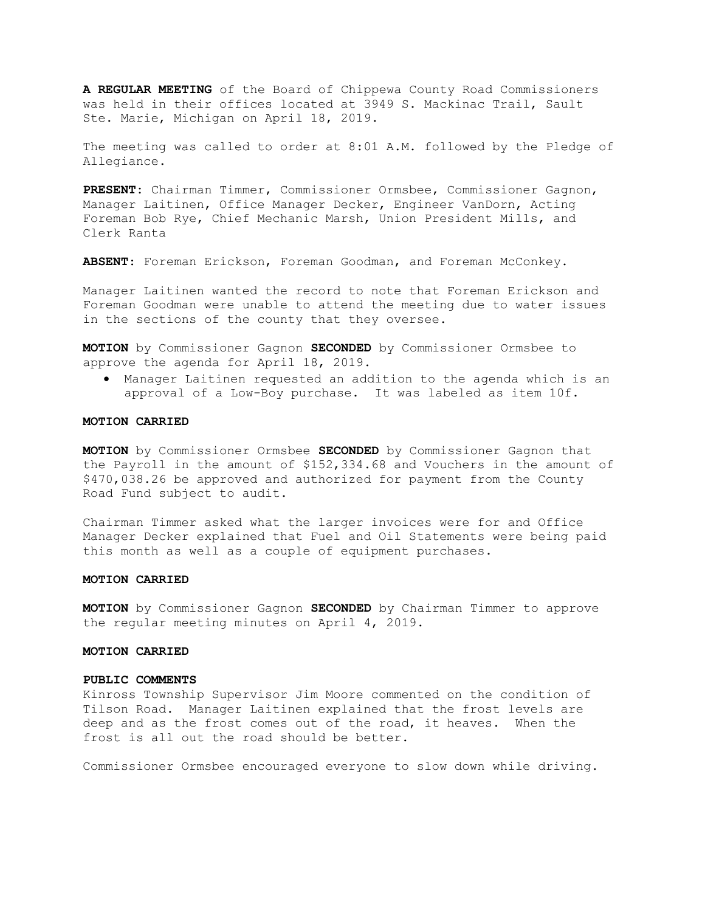A REGULAR MEETING of the Board of Chippewa County Road Commissioners was held in their offices located at 3949 S. Mackinac Trail, Sault Ste. Marie, Michigan on April 18, 2019.

The meeting was called to order at 8:01 A.M. followed by the Pledge of Allegiance.

PRESENT: Chairman Timmer, Commissioner Ormsbee, Commissioner Gagnon, Manager Laitinen, Office Manager Decker, Engineer VanDorn, Acting Foreman Bob Rye, Chief Mechanic Marsh, Union President Mills, and Clerk Ranta

ABSENT: Foreman Erickson, Foreman Goodman, and Foreman McConkey.

Manager Laitinen wanted the record to note that Foreman Erickson and Foreman Goodman were unable to attend the meeting due to water issues in the sections of the county that they oversee.

MOTION by Commissioner Gagnon SECONDED by Commissioner Ormsbee to approve the agenda for April 18, 2019.

 Manager Laitinen requested an addition to the agenda which is an approval of a Low-Boy purchase. It was labeled as item 10f.

#### MOTION CARRIED

MOTION by Commissioner Ormsbee SECONDED by Commissioner Gagnon that the Payroll in the amount of \$152,334.68 and Vouchers in the amount of \$470,038.26 be approved and authorized for payment from the County Road Fund subject to audit.

Chairman Timmer asked what the larger invoices were for and Office Manager Decker explained that Fuel and Oil Statements were being paid this month as well as a couple of equipment purchases.

#### MOTION CARRIED

MOTION by Commissioner Gagnon SECONDED by Chairman Timmer to approve the regular meeting minutes on April 4, 2019.

#### MOTION CARRIED

#### PUBLIC COMMENTS

Kinross Township Supervisor Jim Moore commented on the condition of Tilson Road. Manager Laitinen explained that the frost levels are deep and as the frost comes out of the road, it heaves. When the frost is all out the road should be better.

Commissioner Ormsbee encouraged everyone to slow down while driving.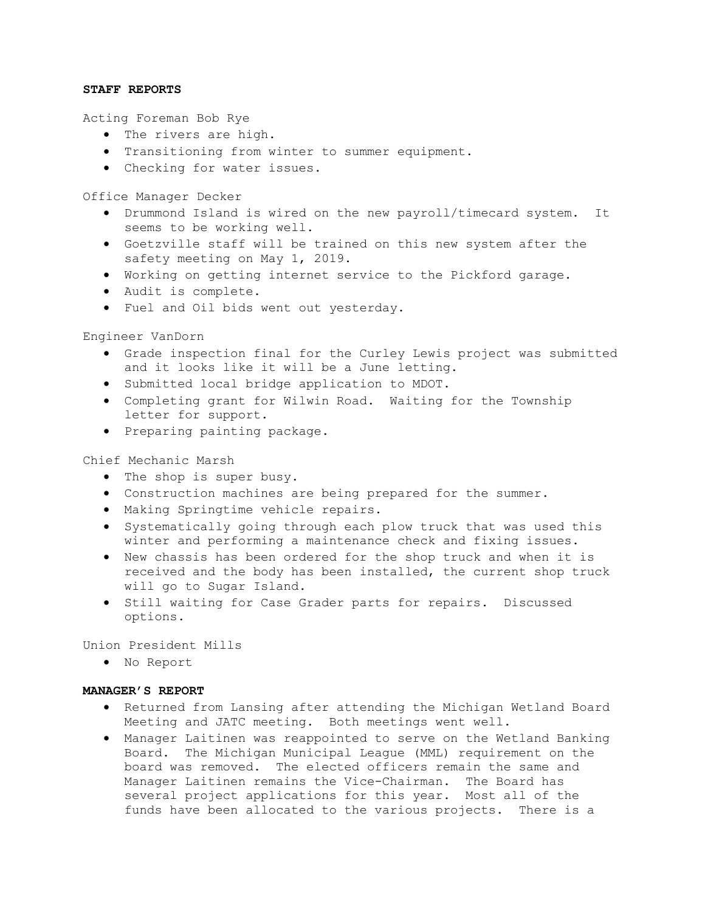## STAFF REPORTS

Acting Foreman Bob Rye

- The rivers are high.
- Transitioning from winter to summer equipment.
- Checking for water issues.

Office Manager Decker

- Drummond Island is wired on the new payroll/timecard system. It seems to be working well.
- Goetzville staff will be trained on this new system after the safety meeting on May 1, 2019.
- Working on getting internet service to the Pickford garage.
- Audit is complete.
- Fuel and Oil bids went out yesterday.

Engineer VanDorn

- Grade inspection final for the Curley Lewis project was submitted and it looks like it will be a June letting.
- Submitted local bridge application to MDOT.
- Completing grant for Wilwin Road. Waiting for the Township letter for support.
- **•** Preparing painting package.

Chief Mechanic Marsh

- The shop is super busy.
- Construction machines are being prepared for the summer.
- Making Springtime vehicle repairs.
- Systematically going through each plow truck that was used this winter and performing a maintenance check and fixing issues.
- New chassis has been ordered for the shop truck and when it is received and the body has been installed, the current shop truck will go to Sugar Island.
- $\bullet$  Still waiting for Case Grader parts for repairs. Discussed options.

Union President Mills

No Report

## MANAGER'S REPORT

- Returned from Lansing after attending the Michigan Wetland Board Meeting and JATC meeting. Both meetings went well.
- Manager Laitinen was reappointed to serve on the Wetland Banking Board. The Michigan Municipal League (MML) requirement on the board was removed. The elected officers remain the same and Manager Laitinen remains the Vice-Chairman. The Board has several project applications for this year. Most all of the funds have been allocated to the various projects. There is a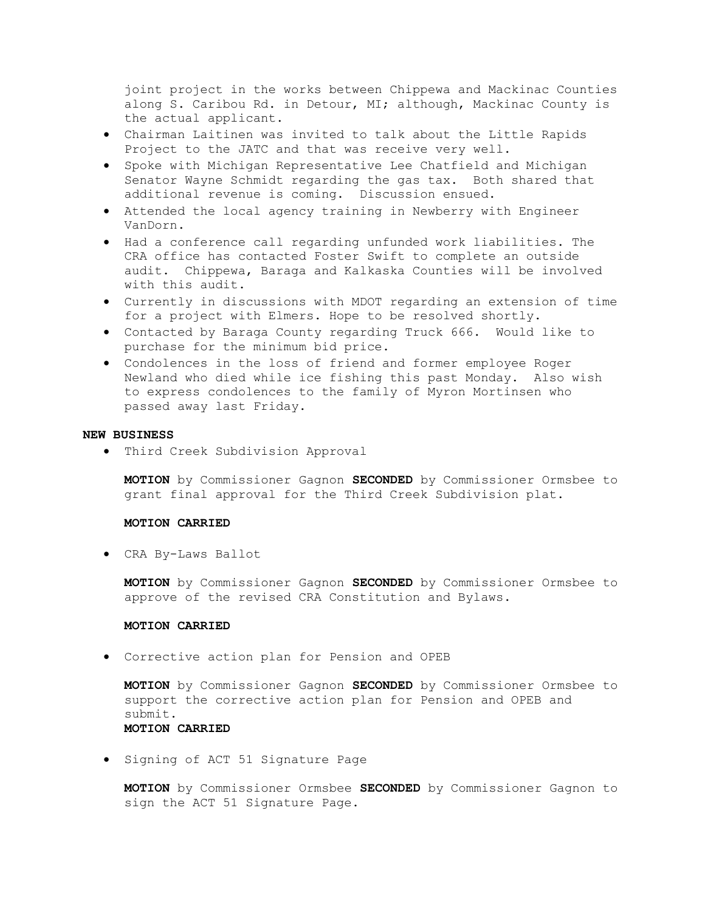joint project in the works between Chippewa and Mackinac Counties along S. Caribou Rd. in Detour, MI; although, Mackinac County is the actual applicant.

- Chairman Laitinen was invited to talk about the Little Rapids Project to the JATC and that was receive very well.
- Spoke with Michigan Representative Lee Chatfield and Michigan Senator Wayne Schmidt regarding the gas tax. Both shared that additional revenue is coming. Discussion ensued.
- Attended the local agency training in Newberry with Engineer VanDorn.
- Had a conference call regarding unfunded work liabilities. The CRA office has contacted Foster Swift to complete an outside audit. Chippewa, Baraga and Kalkaska Counties will be involved with this audit.
- Currently in discussions with MDOT regarding an extension of time for a project with Elmers. Hope to be resolved shortly.
- Contacted by Baraga County regarding Truck 666. Would like to purchase for the minimum bid price.
- Condolences in the loss of friend and former employee Roger Newland who died while ice fishing this past Monday. Also wish to express condolences to the family of Myron Mortinsen who passed away last Friday.

#### NEW BUSINESS

Third Creek Subdivision Approval

MOTION by Commissioner Gagnon SECONDED by Commissioner Ormsbee to grant final approval for the Third Creek Subdivision plat.

## MOTION CARRIED

CRA By-Laws Ballot

MOTION by Commissioner Gagnon SECONDED by Commissioner Ormsbee to approve of the revised CRA Constitution and Bylaws.

## MOTION CARRIED

Corrective action plan for Pension and OPEB

MOTION by Commissioner Gagnon SECONDED by Commissioner Ormsbee to support the corrective action plan for Pension and OPEB and submit. MOTION CARRIED

**Signing of ACT 51 Signature Page** 

MOTION by Commissioner Ormsbee SECONDED by Commissioner Gagnon to sign the ACT 51 Signature Page.